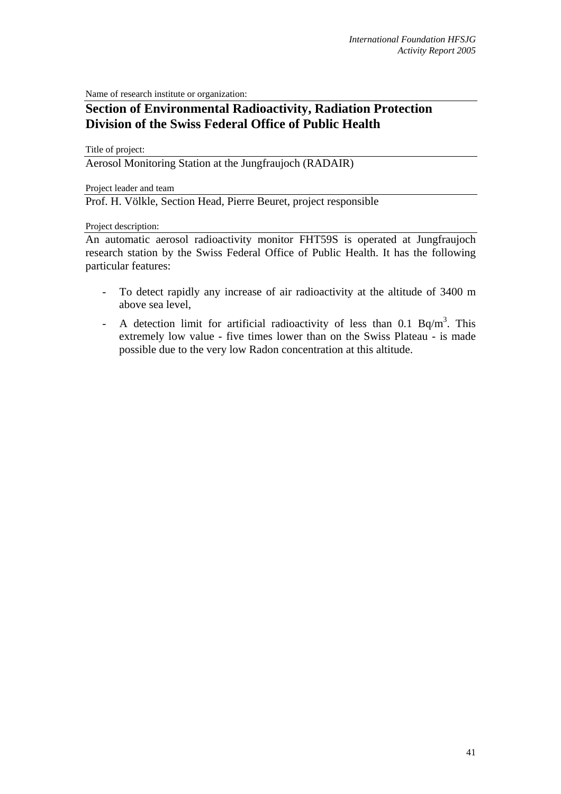Name of research institute or organization:

## **Section of Environmental Radioactivity, Radiation Protection Division of the Swiss Federal Office of Public Health**

Title of project:

Aerosol Monitoring Station at the Jungfraujoch (RADAIR)

Project leader and team

Prof. H. Völkle, Section Head, Pierre Beuret, project responsible

## Project description:

An automatic aerosol radioactivity monitor FHT59S is operated at Jungfraujoch research station by the Swiss Federal Office of Public Health. It has the following particular features:

- To detect rapidly any increase of air radioactivity at the altitude of 3400 m above sea level,
- A detection limit for artificial radioactivity of less than  $0.1$  Bq/m<sup>3</sup>. This extremely low value - five times lower than on the Swiss Plateau - is made possible due to the very low Radon concentration at this altitude.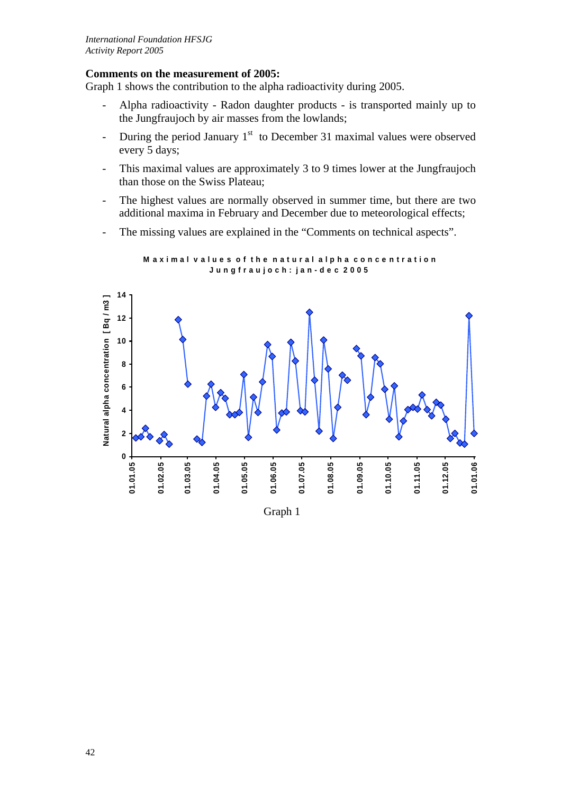## **Comments on the measurement of 2005:**

Graph 1 shows the contribution to the alpha radioactivity during 2005.

- Alpha radioactivity Radon daughter products is transported mainly up to the Jungfraujoch by air masses from the lowlands;
- During the period January  $1<sup>st</sup>$  to December 31 maximal values were observed every 5 days;
- This maximal values are approximately 3 to 9 times lower at the Jungfraujoch than those on the Swiss Plateau;
- The highest values are normally observed in summer time, but there are two additional maxima in February and December due to meteorological effects;
- The missing values are explained in the "Comments on technical aspects".



**Maximal values of the natural alpha concentration J u n g f r a u j o c h : j a n - d e c 2 0 0 5**

Graph 1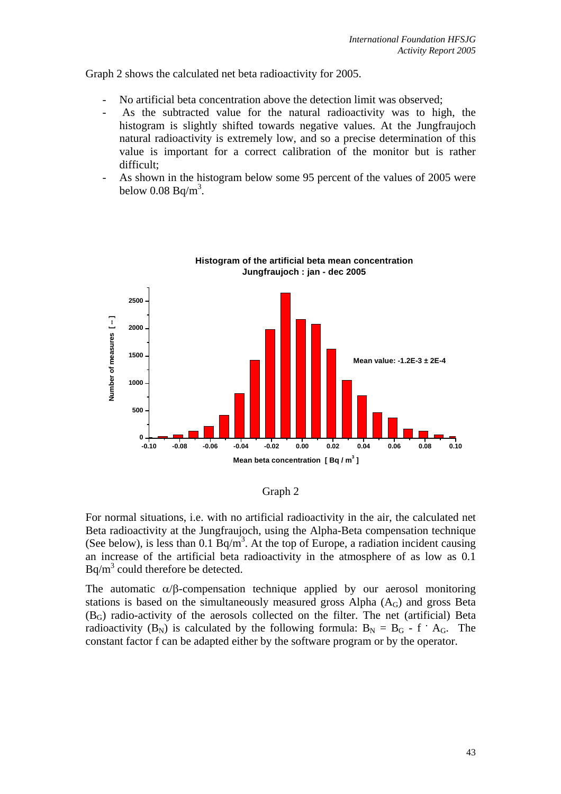Graph 2 shows the calculated net beta radioactivity for 2005.

- No artificial beta concentration above the detection limit was observed;
- As the subtracted value for the natural radioactivity was to high, the histogram is slightly shifted towards negative values. At the Jungfraujoch natural radioactivity is extremely low, and so a precise determination of this value is important for a correct calibration of the monitor but is rather difficult;
- As shown in the histogram below some 95 percent of the values of 2005 were below  $0.08$  Bq/m<sup>3</sup>.



**Histogram of the artificial beta mean concentration Jungfraujoch : jan - dec 2005**

Graph 2

For normal situations, i.e. with no artificial radioactivity in the air, the calculated net Beta radioactivity at the Jungfraujoch, using the Alpha-Beta compensation technique (See below), is less than  $0.1$  Bq/m<sup>3</sup>. At the top of Europe, a radiation incident causing an increase of the artificial beta radioactivity in the atmosphere of as low as 0.1  $Bq/m<sup>3</sup>$  could therefore be detected.

The automatic  $\alpha/\beta$ -compensation technique applied by our aerosol monitoring stations is based on the simultaneously measured gross Alpha  $(A_G)$  and gross Beta  $(B<sub>G</sub>)$  radio-activity of the aerosols collected on the filter. The net (artificial) Beta radioactivity  $(B_N)$  is calculated by the following formula:  $B_N = B_G - f \cdot A_G$ . The constant factor f can be adapted either by the software program or by the operator.